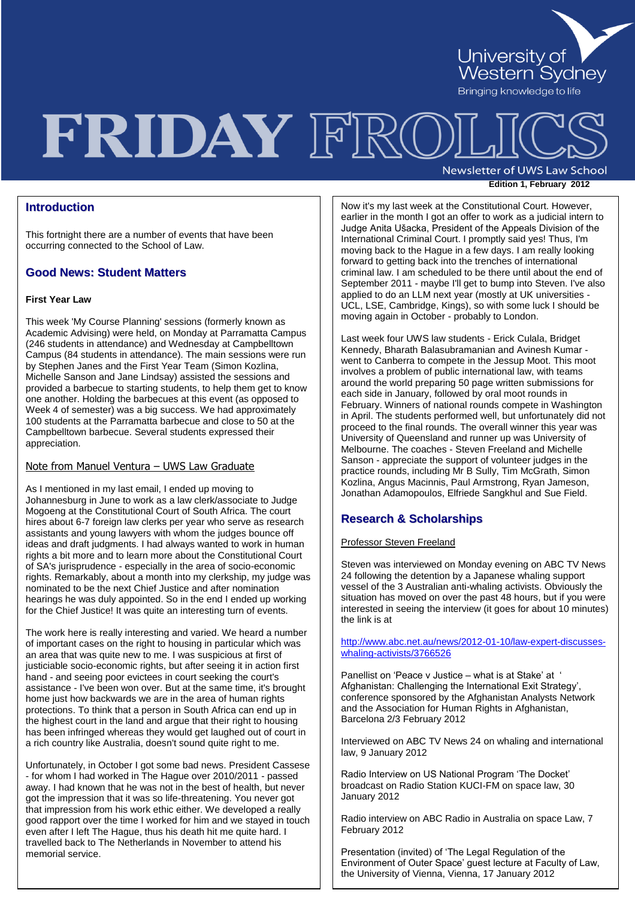University of<br>Western Sydney

Bringing knowledge to life

## FRIDAY FRO **Newsletter of UWS Law School**

### **Edition 1, February 2012**

### **Introduction**

This fortnight there are a number of events that have been occurring connected to the School of Law.

### **Good News: Student Matters**

### **First Year Law**

This week 'My Course Planning' sessions (formerly known as Academic Advising) were held, on Monday at Parramatta Campus (246 students in attendance) and Wednesday at Campbelltown Campus (84 students in attendance). The main sessions were run by Stephen Janes and the First Year Team (Simon Kozlina, Michelle Sanson and Jane Lindsay) assisted the sessions and provided a barbecue to starting students, to help them get to know one another. Holding the barbecues at this event (as opposed to Week 4 of semester) was a big success. We had approximately 100 students at the Parramatta barbecue and close to 50 at the Campbelltown barbecue. Several students expressed their appreciation.

### Note from Manuel Ventura – UWS Law Graduate

As I mentioned in my last email, I ended up moving to Johannesburg in June to work as a law clerk/associate to Judge Mogoeng at the Constitutional Court of South Africa. The court hires about 6-7 foreign law clerks per year who serve as research assistants and young lawyers with whom the judges bounce off ideas and draft judgments. I had always wanted to work in human rights a bit more and to learn more about the Constitutional Court of SA's jurisprudence - especially in the area of socio-economic rights. Remarkably, about a month into my clerkship, my judge was nominated to be the next Chief Justice and after nomination hearings he was duly appointed. So in the end I ended up working for the Chief Justice! It was quite an interesting turn of events.

The work here is really interesting and varied. We heard a number of important cases on the right to housing in particular which was an area that was quite new to me. I was suspicious at first of justiciable socio-economic rights, but after seeing it in action first hand - and seeing poor evictees in court seeking the court's assistance - I've been won over. But at the same time, it's brought home just how backwards we are in the area of human rights protections. To think that a person in South Africa can end up in the highest court in the land and argue that their right to housing has been infringed whereas they would get laughed out of court in a rich country like Australia, doesn't sound quite right to me.

Unfortunately, in October I got some bad news. President Cassese - for whom I had worked in The Hague over 2010/2011 - passed away. I had known that he was not in the best of health, but never got the impression that it was so life-threatening. You never got that impression from his work ethic either. We developed a really good rapport over the time I worked for him and we stayed in touch even after I left The Hague, thus his death hit me quite hard. I travelled back to The Netherlands in November to attend his memorial service.

International Criminal Court. I promptly said yes! Thus, I'm Now it's my last week at the Constitutional Court. However, earlier in the month I got an offer to work as a judicial intern to Judge Anita Ušacka, President of the Appeals Division of the moving back to the Hague in a few days. I am really looking forward to getting back into the trenches of international criminal law. I am scheduled to be there until about the end of September 2011 - maybe I'll get to bump into Steven. I've also applied to do an LLM next year (mostly at UK universities - UCL, LSE, Cambridge, Kings), so with some luck I should be moving again in October - probably to London.

Last week four UWS law students - Erick Culala, Bridget Kennedy, Bharath Balasubramanian and Avinesh Kumar went to Canberra to compete in the Jessup Moot. This moot involves a problem of public international law, with teams around the world preparing 50 page written submissions for each side in January, followed by oral moot rounds in February. Winners of national rounds compete in Washington in April. The students performed well, but unfortunately did not proceed to the final rounds. The overall winner this year was University of Queensland and runner up was University of Melbourne. The coaches - Steven Freeland and Michelle Sanson - appreciate the support of volunteer judges in the practice rounds, including Mr B Sully, Tim McGrath, Simon Kozlina, Angus Macinnis, Paul Armstrong, Ryan Jameson, Jonathan Adamopoulos, Elfriede Sangkhul and Sue Field.

### **Research & Scholarships**

### Professor Steven Freeland

Steven was interviewed on Monday evening on ABC TV News 24 following the detention by a Japanese whaling support vessel of the 3 Australian anti-whaling activists. Obviously the situation has moved on over the past 48 hours, but if you were interested in seeing the interview (it goes for about 10 minutes) the link is at

[http://www.abc.net.au/news/2012-01-10/law-expert-discusses](http://www.abc.net.au/news/2012-01-10/law-expert-discusses-whaling-activists/3766526)[whaling-activists/3766526](http://www.abc.net.au/news/2012-01-10/law-expert-discusses-whaling-activists/3766526)

Panellist on 'Peace v Justice – what is at Stake' at ' Afghanistan: Challenging the International Exit Strategy'. conference sponsored by the Afghanistan Analysts Network and the Association for Human Rights in Afghanistan, Barcelona 2/3 February 2012

Interviewed on ABC TV News 24 on whaling and international law, 9 January 2012

Radio Interview on US National Program "The Docket" broadcast on Radio Station KUCI-FM on space law, 30 January 2012

Radio interview on ABC Radio in Australia on space Law, 7 February 2012

Presentation (invited) of "The Legal Regulation of the Environment of Outer Space" guest lecture at Faculty of Law, the University of Vienna, Vienna, 17 January 2012